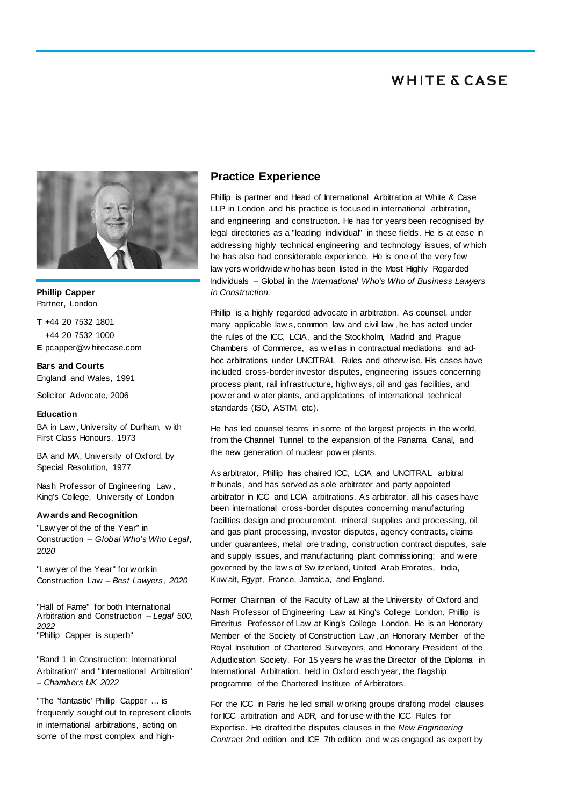

**Phillip Capper** Partner, London

**T** +44 20 7532 1801 +44 20 7532 1000 **E** pcapper@w hitecase.com

**Bars and Courts** England and Wales, 1991

Solicitor Advocate, 2006

#### **Education**

BA in Law , University of Durham, w ith First Class Honours, 1973

BA and MA, University of Oxford, by Special Resolution, 1977

Nash Professor of Engineering Law , King's College, University of London

#### **Awards and Recognition**

"Law yer of the of the Year" in Construction – *Global Who's Who Legal*, 2*020*

"Law yer of the Year" for w ork in Construction Law – *Best Lawyers*, *2020*

"Hall of Fame" for both International Arbitration and Construction – *Legal 500, 2022* "Phillip Capper is superb"

"Band 1 in Construction: International Arbitration" and "International Arbitration" – *Chambers UK 2022*

"The 'fantastic' Phillip Capper … is frequently sought out to represent clients in international arbitrations, acting on some of the most complex and high-

### **Practice Experience**

Phillip is partner and Head of International Arbitration at White & Case LLP in London and his practice is focused in international arbitration, and engineering and construction. He has for years been recognised by legal directories as a "leading individual" in these fields. He is at ease in addressing highly technical engineering and technology issues, of w hich he has also had considerable experience. He is one of the very few law yers w orldwide w ho has been listed in the Most Highly Regarded Individuals – Global in the *International Who's Who of Business Lawyers in Construction.*

Phillip is a highly regarded advocate in arbitration. As counsel, under many applicable law s, common law and civil law , he has acted under the rules of the ICC, LCIA, and the Stockholm, Madrid and Prague Chambers of Commerce, as w ell as in contractual mediations and adhoc arbitrations under UNCITRAL Rules and otherw ise. His cases have included cross-border investor disputes, engineering issues concerning process plant, rail infrastructure, highw ays, oil and gas facilities, and pow er and w ater plants, and applications of international technical standards (ISO, ASTM, etc).

He has led counsel teams in some of the largest projects in the w orld, from the Channel Tunnel to the expansion of the Panama Canal, and the new generation of nuclear pow er plants.

As arbitrator, Phillip has chaired ICC, LCIA and UNCITRAL arbitral tribunals, and has served as sole arbitrator and party appointed arbitrator in ICC and LCIA arbitrations. As arbitrator, all his cases have been international cross-border disputes concerning manufacturing facilities design and procurement, mineral supplies and processing, oil and gas plant processing, investor disputes, agency contracts, claims under guarantees, metal ore trading, construction contract disputes, sale and supply issues, and manufacturing plant commissioning; and w ere governed by the law s of Sw itzerland, United Arab Emirates, India, Kuw ait, Egypt, France, Jamaica, and England.

Former Chairman of the Faculty of Law at the University of Oxford and Nash Professor of Engineering Law at King's College London, Phillip is Emeritus Professor of Law at King's College London. He is an Honorary Member of the Society of Construction Law , an Honorary Member of the Royal Institution of Chartered Surveyors, and Honorary President of the Adjudication Society. For 15 years he w as the Director of the Diploma in International Arbitration, held in Oxford each year, the flagship programme of the Chartered Institute of Arbitrators.

For the ICC in Paris he led small w orking groups drafting model clauses for ICC arbitration and ADR, and for use w ith the ICC Rules for Expertise. He drafted the disputes clauses in the *New Engineering Contract* 2nd edition and ICE 7th edition and w as engaged as expert by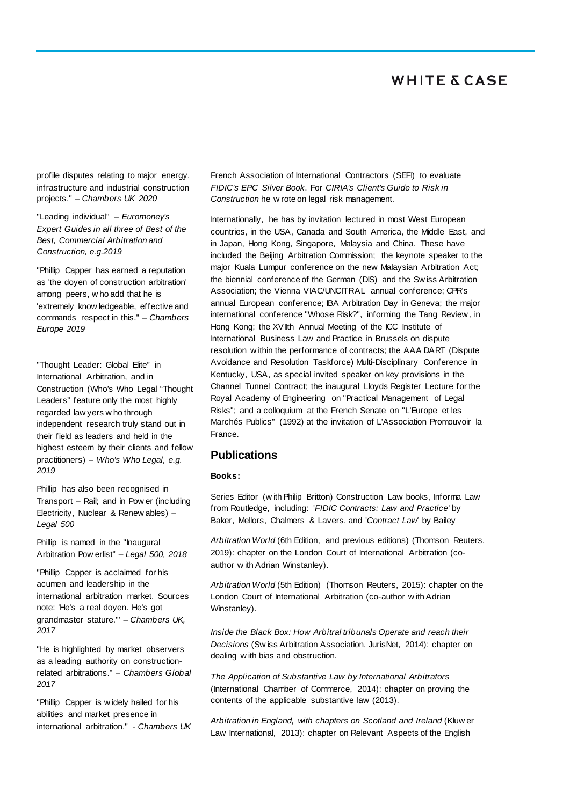profile disputes relating to major energy, infrastructure and industrial construction projects." – *Chambers UK 2020*

"Leading individual" – *Euromoney's Expert Guides in all three of Best of the Best, Commercial Arbitration and Construction, e.g.2019*

"Phillip Capper has earned a reputation as 'the doyen of construction arbitration' among peers, w ho add that he is 'extremely know ledgeable, effective and commands respect in this." – *Chambers Europe 2019*

"Thought Leader: Global Elite" in International Arbitration, and in Construction (Who's Who Legal "Thought Leaders" feature only the most highly regarded law yers w ho through independent research truly stand out in their field as leaders and held in the highest esteem by their clients and fellow practitioners) – *Who's Who Legal, e.g. 2019*

Phillip has also been recognised in Transport – Rail; and in Pow er (including Electricity, Nuclear & Renew ables) – *Legal 500*

Phillip is named in the "Inaugural Arbitration Pow erlist" – *Legal 500, 2018*

"Phillip Capper is acclaimed for his acumen and leadership in the international arbitration market. Sources note: 'He's a real doyen. He's got grandmaster stature.'" – *Chambers UK, 2017*

"He is highlighted by market observers as a leading authority on constructionrelated arbitrations." – *Chambers Global 2017*

"Phillip Capper is w idely hailed for his abilities and market presence in international arbitration." - *Chambers UK*  French Association of International Contractors (SEFI) to evaluate *FIDIC's EPC Silver Book*. For *CIRIA's Client's Guide to Risk in Construction* he w rote on legal risk management.

Internationally, he has by invitation lectured in most West European countries, in the USA, Canada and South America, the Middle East, and in Japan, Hong Kong, Singapore, Malaysia and China. These have included the Beijing Arbitration Commission; the keynote speaker to the major Kuala Lumpur conference on the new Malaysian Arbitration Act; the biennial conference of the German (DIS) and the Sw iss Arbitration Association; the Vienna VIAC/UNCITRAL annual conference; CPR's annual European conference; IBA Arbitration Day in Geneva; the major international conference "Whose Risk?", informing the Tang Review , in Hong Kong; the XVIIth Annual Meeting of the ICC Institute of International Business Law and Practice in Brussels on dispute resolution w ithin the performance of contracts; the AAA DART (Dispute Avoidance and Resolution Taskforce) Multi-Disciplinary Conference in Kentucky, USA, as special invited speaker on key provisions in the Channel Tunnel Contract; the inaugural Lloyds Register Lecture for the Royal Academy of Engineering on "Practical Management of Legal Risks"; and a colloquium at the French Senate on "L'Europe et les Marchés Publics" (1992) at the invitation of L'Association Promouvoir la France.

### **Publications**

#### **Books:**

Series Editor (w ith Philip Britton) Construction Law books, Informa Law from Routledge, including: '*FIDIC Contracts: Law and Practice*' by Baker, Mellors, Chalmers & Lavers, and '*Contract Law'* by Bailey

*Arbitration World* (6th Edition, and previous editions) (Thomson Reuters, 2019): chapter on the London Court of International Arbitration (coauthor w ith Adrian Winstanley).

*Arbitration World* (5th Edition) (Thomson Reuters, 2015): chapter on the London Court of International Arbitration (co-author w ith Adrian Winstanley).

*Inside the Black Box: How Arbitral tribunals Operate and reach their Decisions* (Sw iss Arbitration Association, JurisNet, 2014): chapter on dealing w ith bias and obstruction.

*The Application of Substantive Law by International Arbitrators*  (International Chamber of Commerce, 2014): chapter on proving the contents of the applicable substantive law (2013).

*Arbitration in England, with chapters on Scotland and Ireland* (Kluw er Law International, 2013): chapter on Relevant Aspects of the English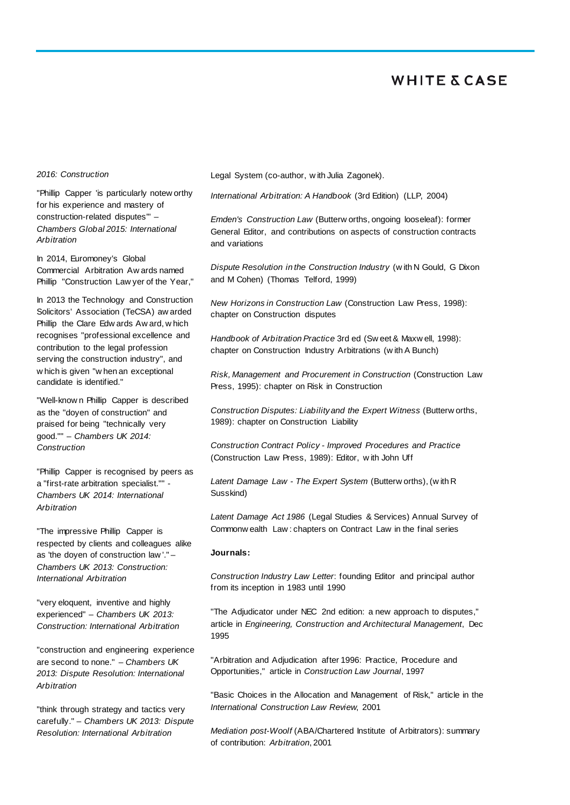### *2016: Construction*

"Phillip Capper 'is particularly notew orthy for his experience and mastery of construction-related disputes'" – *Chambers Global 2015: International Arbitration*

In 2014, Euromoney's Global Commercial Arbitration Aw ards named Phillip "Construction Law yer of the Year,"

In 2013 the Technology and Construction Solicitors' Association (TeCSA) aw arded Phillip the Clare Edw ards Aw ard, w hich recognises "professional excellence and contribution to the legal profession serving the construction industry", and w hich is given "w hen an exceptional candidate is identified."

"Well-know n Phillip Capper is described as the "doyen of construction" and praised for being "technically very good."" – *Chambers UK 2014: Construction*

"Phillip Capper is recognised by peers as a "first-rate arbitration specialist."" - *Chambers UK 2014: International Arbitration*

"The impressive Phillip Capper is respected by clients and colleagues alike as 'the doyen of construction law '." – *Chambers UK 2013: Construction: International Arbitration*

"very eloquent, inventive and highly experienced" – *Chambers UK 2013: Construction: International Arbitration* 

"construction and engineering experience are second to none." – *Chambers UK 2013: Dispute Resolution: International Arbitration*

"think through strategy and tactics very carefully." – *Chambers UK 2013: Dispute Resolution: International Arbitration*

Legal System (co-author, w ith Julia Zagonek).

*International Arbitration: A Handbook* (3rd Edition) (LLP, 2004)

*Emden's Construction Law* (Butterw orths, ongoing looseleaf): former General Editor, and contributions on aspects of construction contracts and variations

*Dispute Resolution in the Construction Industry* (w ith N Gould, G Dixon and M Cohen) (Thomas Telford, 1999)

*New Horizons in Construction Law* (Construction Law Press, 1998): chapter on Construction disputes

*Handbook of Arbitration Practice* 3rd ed (Sw eet & Maxw ell, 1998): chapter on Construction Industry Arbitrations (w ith A Bunch)

*Risk, Management and Procurement in Construction* (Construction Law Press, 1995): chapter on Risk in Construction

*Construction Disputes: Liability and the Expert Witness* (Butterw orths, 1989): chapter on Construction Liability

*Construction Contract Policy - Improved Procedures and Practice* (Construction Law Press, 1989): Editor, w ith John Uff

*Latent Damage Law - The Expert System* (Butterw orths), (w ith R Susskind)

*Latent Damage Act 1986* (Legal Studies & Services) Annual Survey of Commonw ealth Law : chapters on Contract Law in the final series

#### **Journals:**

*Construction Industry Law Letter*: founding Editor and principal author from its inception in 1983 until 1990

"The Adjudicator under NEC 2nd edition: a new approach to disputes," article in *Engineering, Construction and Architectural Management*, Dec 1995

"Arbitration and Adjudication after 1996: Practice, Procedure and Opportunities," article in *Construction Law Journal*, 1997

"Basic Choices in the Allocation and Management of Risk," article in the *International Construction Law Review*, 2001

*Mediation post-Woolf* (ABA/Chartered Institute of Arbitrators): summary of contribution: *Arbitration*, 2001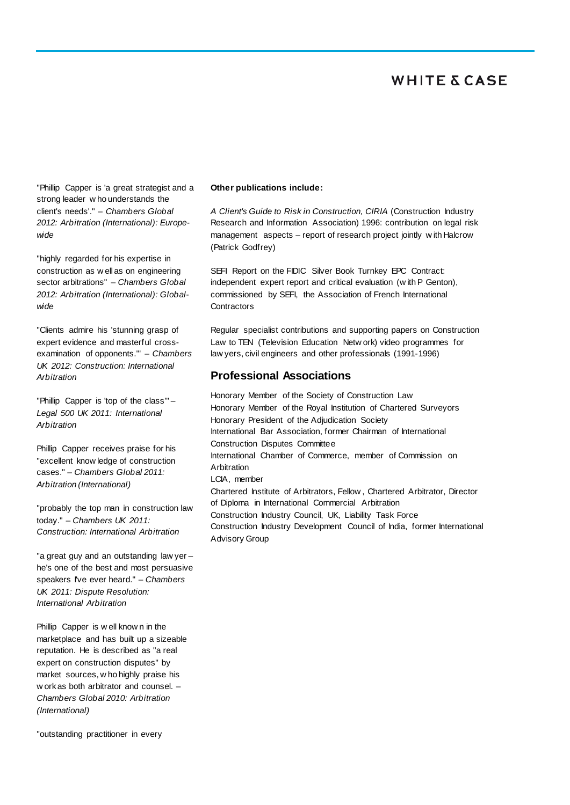"Phillip Capper is 'a great strategist and a strong leader w ho understands the client's needs'." – *Chambers Global 2012: Arbitration (International): Europewide*

"highly regarded for his expertise in construction as w ell as on engineering sector arbitrations" – *Chambers Global 2012: Arbitration (International): Globalwide*

"Clients admire his 'stunning grasp of expert evidence and masterful crossexamination of opponents.'" – *Chambers UK 2012: Construction: International Arbitration*

"Phillip Capper is 'top of the class'" – *Legal 500 UK 2011: International Arbitration*

Phillip Capper receives praise for his "excellent know ledge of construction cases." – *Chambers Global 2011: Arbitration (International)* 

"probably the top man in construction law today." – *Chambers UK 2011: Construction: International Arbitration*

"a great guy and an outstanding law yer – he's one of the best and most persuasive speakers I've ever heard." – *Chambers UK 2011: Dispute Resolution: International Arbitration*

Phillip Capper is w ell know n in the marketplace and has built up a sizeable reputation. He is described as "a real expert on construction disputes" by market sources, w ho highly praise his w ork as both arbitrator and counsel. – *Chambers Global 2010: Arbitration (International)*

"outstanding practitioner in every

#### **Other publications include:**

*A Client's Guide to Risk in Construction, CIRIA* (Construction Industry Research and Information Association) 1996: contribution on legal risk management aspects – report of research project jointly w ith Halcrow (Patrick Godfrey)

SEFI Report on the FIDIC Silver Book Turnkey EPC Contract: independent expert report and critical evaluation (w ith P Genton), commissioned by SEFI, the Association of French International **Contractors** 

Regular specialist contributions and supporting papers on Construction Law to TEN (Television Education Netw ork) video programmes for law yers, civil engineers and other professionals (1991-1996)

### **Professional Associations**

Honorary Member of the Society of Construction Law Honorary Member of the Royal Institution of Chartered Surveyors Honorary President of the Adjudication Society International Bar Association, former Chairman of International Construction Disputes Committee International Chamber of Commerce, member of Commission on **Arbitration** LCIA, member Chartered Institute of Arbitrators, Fellow , Chartered Arbitrator, Director of Diploma in International Commercial Arbitration Construction Industry Council, UK, Liability Task Force Construction Industry Development Council of India, former International Advisory Group